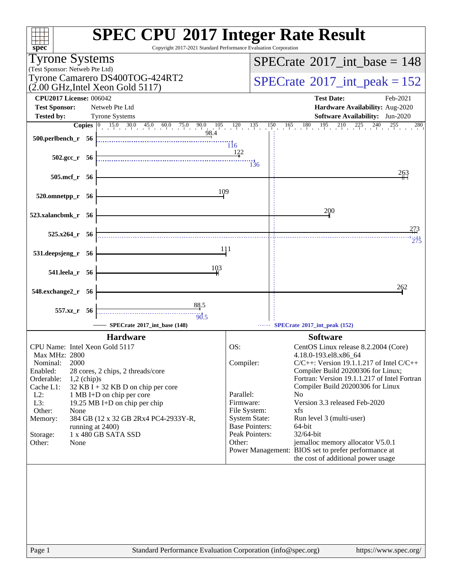| $spec^*$                                                                                                            | <b>SPEC CPU®2017 Integer Rate Result</b><br>Copyright 2017-2021 Standard Performance Evaluation Corporation |
|---------------------------------------------------------------------------------------------------------------------|-------------------------------------------------------------------------------------------------------------|
| <b>Tyrone Systems</b>                                                                                               | $SPECrate^{\circ}2017\_int\_base = 148$                                                                     |
| (Test Sponsor: Netweb Pte Ltd)                                                                                      |                                                                                                             |
| Tyrone Camarero DS400TOG-424RT2<br>$(2.00 \text{ GHz}, \text{Intel Xeon Gold } 5117)$                               | $SPECrate^{\circ}2017\_int\_peak = 152$                                                                     |
| <b>CPU2017 License: 006042</b>                                                                                      | <b>Test Date:</b><br>Feb-2021                                                                               |
| <b>Test Sponsor:</b><br>Netweb Pte Ltd                                                                              | Hardware Availability: Aug-2020                                                                             |
| <b>Tyrone Systems</b><br><b>Tested by:</b>                                                                          | Software Availability: Jun-2020<br>$150$ $165$ $180$ $195$ $210$ $225$ $240$ $255$<br>280                   |
| <b>Copies</b> $\begin{bmatrix} 0 & 15.0 & 30.0 & 45.0 & 60.0 & 75.0 & 90.0 & 105 & 120 & 135 \end{bmatrix}$<br>98.4 |                                                                                                             |
| $500.$ perlbench_r 56                                                                                               | $\overline{116}$                                                                                            |
| $502.\text{gcc}_r$ 56                                                                                               | 122                                                                                                         |
|                                                                                                                     | $\frac{11}{136}$<br>263                                                                                     |
| 505.mcf_r 56                                                                                                        |                                                                                                             |
| 109<br>520.omnetpp_r 56                                                                                             |                                                                                                             |
| 523.xalancbmk_r 56                                                                                                  | 200                                                                                                         |
|                                                                                                                     | 273                                                                                                         |
| $525.x264$ r 56                                                                                                     | 275                                                                                                         |
| 531.deepsjeng_r 56                                                                                                  | 111                                                                                                         |
| 103<br>541.leela_r 56                                                                                               |                                                                                                             |
| 548.exchange2_r 56                                                                                                  | 262                                                                                                         |
| 88.5                                                                                                                |                                                                                                             |
| 557.xz_r 56<br>$-30.5$                                                                                              |                                                                                                             |
| SPECrate®2017_int_base (148)                                                                                        | SPECrate®2017_int_peak (152)                                                                                |
| <b>Hardware</b>                                                                                                     | <b>Software</b>                                                                                             |
| CPU Name: Intel Xeon Gold 5117                                                                                      | OS:<br>CentOS Linux release 8.2.2004 (Core)                                                                 |
| Max MHz: 2800<br>2000<br>Nominal:                                                                                   | 4.18.0-193.el8.x86_64<br>$C/C++$ : Version 19.1.1.217 of Intel $C/C++$<br>Compiler:                         |
| Enabled:<br>28 cores, 2 chips, 2 threads/core                                                                       | Compiler Build 20200306 for Linux;                                                                          |
| Orderable:<br>$1,2$ (chip)s                                                                                         | Fortran: Version 19.1.1.217 of Intel Fortran                                                                |
| Cache L1:<br>32 KB I + 32 KB D on chip per core<br>$L2$ :                                                           | Compiler Build 20200306 for Linux<br>Parallel:<br>N <sub>0</sub>                                            |
| 1 MB I+D on chip per core<br>$L3$ :<br>19.25 MB I+D on chip per chip                                                | Version 3.3 released Feb-2020<br>Firmware:                                                                  |
| Other:<br>None                                                                                                      | File System:<br>xfs                                                                                         |
| Memory:<br>384 GB (12 x 32 GB 2Rx4 PC4-2933Y-R,                                                                     | <b>System State:</b><br>Run level 3 (multi-user)                                                            |
| running at 2400)<br>1 x 480 GB SATA SSD<br>Storage:                                                                 | <b>Base Pointers:</b><br>64-bit<br>Peak Pointers:<br>32/64-bit                                              |
| Other:<br>None                                                                                                      | jemalloc memory allocator V5.0.1<br>Other:                                                                  |
|                                                                                                                     | Power Management: BIOS set to prefer performance at<br>the cost of additional power usage                   |
|                                                                                                                     |                                                                                                             |
| Page 1                                                                                                              | Standard Performance Evaluation Corporation (info@spec.org)<br>https://www.spec.org/                        |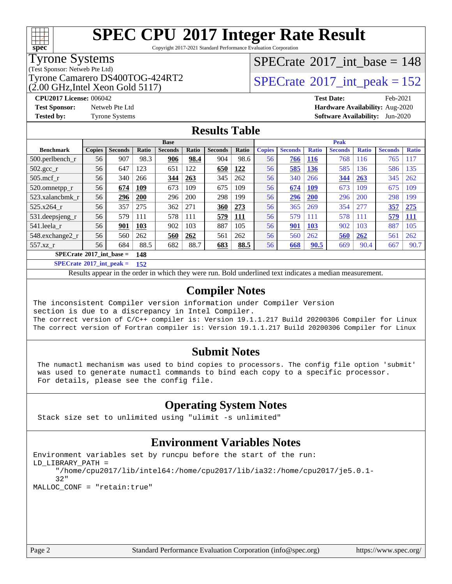

Copyright 2017-2021 Standard Performance Evaluation Corporation

#### Tyrone Systems

(Test Sponsor: Netweb Pte Ltd)

 $(2.00 \text{ GHz}, \text{Intel} \text{ Xeon} \text{ Gold} 5117)$ 

### $SPECTate@2017_int\_base = 148$

Tyrone Camarero DS400TOG-424RT2  $\vert$  [SPECrate](http://www.spec.org/auto/cpu2017/Docs/result-fields.html#SPECrate2017intpeak) [2017\\_int\\_peak = 1](http://www.spec.org/auto/cpu2017/Docs/result-fields.html#SPECrate2017intpeak)52

**[CPU2017 License:](http://www.spec.org/auto/cpu2017/Docs/result-fields.html#CPU2017License)** 006042 **[Test Date:](http://www.spec.org/auto/cpu2017/Docs/result-fields.html#TestDate)** Feb-2021 **[Test Sponsor:](http://www.spec.org/auto/cpu2017/Docs/result-fields.html#TestSponsor)** Netweb Pte Ltd **[Hardware Availability:](http://www.spec.org/auto/cpu2017/Docs/result-fields.html#HardwareAvailability)** Aug-2020 **[Tested by:](http://www.spec.org/auto/cpu2017/Docs/result-fields.html#Testedby)** Tyrone Systems **[Software Availability:](http://www.spec.org/auto/cpu2017/Docs/result-fields.html#SoftwareAvailability)** Jun-2020

#### **[Results Table](http://www.spec.org/auto/cpu2017/Docs/result-fields.html#ResultsTable)**

|                                   |               |                |       | <b>Base</b>    |       |                |             |               |                |              | <b>Peak</b>    |              |                |              |
|-----------------------------------|---------------|----------------|-------|----------------|-------|----------------|-------------|---------------|----------------|--------------|----------------|--------------|----------------|--------------|
| <b>Benchmark</b>                  | <b>Copies</b> | <b>Seconds</b> | Ratio | <b>Seconds</b> | Ratio | <b>Seconds</b> | Ratio       | <b>Copies</b> | <b>Seconds</b> | <b>Ratio</b> | <b>Seconds</b> | <b>Ratio</b> | <b>Seconds</b> | <b>Ratio</b> |
| $500.$ perlbench_r                | 56            | 907            | 98.3  | 906            | 98.4  | 904            | 98.6        | 56            | 766            | <b>116</b>   | 768            | 116          | 765            | 117          |
| $502.\text{gcc}_r$                | 56            | 647            | 123   | 651            | 122   | 650            | 122         | 56            | 585            | 136          | 585            | 136          | 586            | 135          |
| $505$ .mcf r                      | 56            | 340            | 266   | 344            | 263   | 345            | 262         | 56            | 340            | 266          | 344            | 263          | 345            | 262          |
| 520.omnetpp_r                     | 56            | 674            | 109   | 673            | 109   | 675            | 109         | 56            | 674            | <b>109</b>   | 673            | 109          | 675            | 109          |
| 523.xalancbmk r                   | 56            | 296            | 200   | 296            | 200   | 298            | 199         | 56            | 296            | <b>200</b>   | 296            | <b>200</b>   | 298            | 199          |
| 525.x264 r                        | 56            | 357            | 275   | 362            | 271   | 360            | 273         | 56            | 365            | 269          | 354            | 277          | 357            | 275          |
| 531.deepsjeng_r                   | 56            | 579            | 111   | 578            | 111   | 579            | <u> 111</u> | 56            | 579            | 111          | 578            | 111          | 579            | <u>111</u>   |
| 541.leela r                       | 56            | 901            | 103   | 902            | 103   | 887            | 105         | 56            | 901            | 103          | 902            | 103          | 887            | 105          |
| 548.exchange2_r                   | 56            | 560            | 262   | 560            | 262   | 561            | 262         | 56            | 560            | 262          | 560            | 262          | 561            | 262          |
| $557.xz$ r                        | 56            | 684            | 88.5  | 682            | 88.7  | 683            | 88.5        | 56            | <u>668</u>     | 90.5         | 669            | 90.4         | 667            | 90.7         |
| $SPECrate^{\circ}2017$ int base = |               |                | 148   |                |       |                |             |               |                |              |                |              |                |              |

**[SPECrate](http://www.spec.org/auto/cpu2017/Docs/result-fields.html#SPECrate2017intpeak)[2017\\_int\\_peak =](http://www.spec.org/auto/cpu2017/Docs/result-fields.html#SPECrate2017intpeak) 152**

Results appear in the [order in which they were run.](http://www.spec.org/auto/cpu2017/Docs/result-fields.html#RunOrder) Bold underlined text [indicates a median measurement.](http://www.spec.org/auto/cpu2017/Docs/result-fields.html#Median)

#### **[Compiler Notes](http://www.spec.org/auto/cpu2017/Docs/result-fields.html#CompilerNotes)**

The inconsistent Compiler version information under Compiler Version section is due to a discrepancy in Intel Compiler. The correct version of C/C++ compiler is: Version 19.1.1.217 Build 20200306 Compiler for Linux The correct version of Fortran compiler is: Version 19.1.1.217 Build 20200306 Compiler for Linux

#### **[Submit Notes](http://www.spec.org/auto/cpu2017/Docs/result-fields.html#SubmitNotes)**

 The numactl mechanism was used to bind copies to processors. The config file option 'submit' was used to generate numactl commands to bind each copy to a specific processor. For details, please see the config file.

### **[Operating System Notes](http://www.spec.org/auto/cpu2017/Docs/result-fields.html#OperatingSystemNotes)**

Stack size set to unlimited using "ulimit -s unlimited"

#### **[Environment Variables Notes](http://www.spec.org/auto/cpu2017/Docs/result-fields.html#EnvironmentVariablesNotes)**

```
Environment variables set by runcpu before the start of the run:
LD_LIBRARY_PATH =
      "/home/cpu2017/lib/intel64:/home/cpu2017/lib/ia32:/home/cpu2017/je5.0.1-
      32"
MALLOC_CONF = "retain:true"
```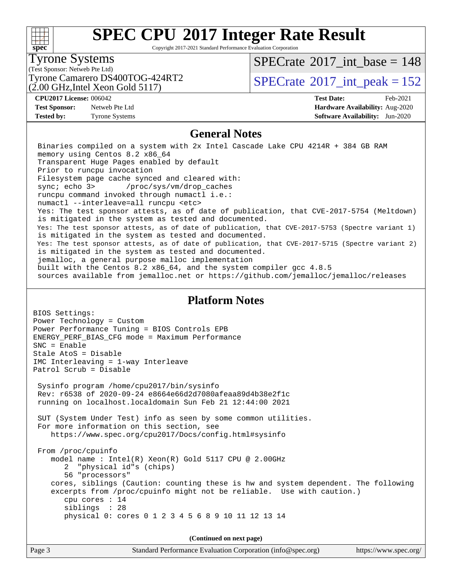#### $+\!\!+\!\!$ **[spec](http://www.spec.org/)**

# **[SPEC CPU](http://www.spec.org/auto/cpu2017/Docs/result-fields.html#SPECCPU2017IntegerRateResult)[2017 Integer Rate Result](http://www.spec.org/auto/cpu2017/Docs/result-fields.html#SPECCPU2017IntegerRateResult)**

Copyright 2017-2021 Standard Performance Evaluation Corporation

### Tyrone Systems

(Test Sponsor: Netweb Pte Ltd)

(2.00 GHz,Intel Xeon Gold 5117)

 $SPECTate$ <sup>®</sup>[2017\\_int\\_base =](http://www.spec.org/auto/cpu2017/Docs/result-fields.html#SPECrate2017intbase) 148

Tyrone Camarero DS400TOG-424RT2  $\vert$  [SPECrate](http://www.spec.org/auto/cpu2017/Docs/result-fields.html#SPECrate2017intpeak)  $2017$  int peak = 152

**[Test Sponsor:](http://www.spec.org/auto/cpu2017/Docs/result-fields.html#TestSponsor)** Netweb Pte Ltd **[Hardware Availability:](http://www.spec.org/auto/cpu2017/Docs/result-fields.html#HardwareAvailability)** Aug-2020

**[CPU2017 License:](http://www.spec.org/auto/cpu2017/Docs/result-fields.html#CPU2017License)** 006042 **[Test Date:](http://www.spec.org/auto/cpu2017/Docs/result-fields.html#TestDate)** Feb-2021 **[Tested by:](http://www.spec.org/auto/cpu2017/Docs/result-fields.html#Testedby)** Tyrone Systems **[Software Availability:](http://www.spec.org/auto/cpu2017/Docs/result-fields.html#SoftwareAvailability)** Jun-2020

#### **[General Notes](http://www.spec.org/auto/cpu2017/Docs/result-fields.html#GeneralNotes)**

 Binaries compiled on a system with 2x Intel Cascade Lake CPU 4214R + 384 GB RAM memory using Centos 8.2 x86\_64 Transparent Huge Pages enabled by default Prior to runcpu invocation Filesystem page cache synced and cleared with: sync; echo 3> /proc/sys/vm/drop\_caches runcpu command invoked through numactl i.e.: numactl --interleave=all runcpu <etc> Yes: The test sponsor attests, as of date of publication, that CVE-2017-5754 (Meltdown) is mitigated in the system as tested and documented. Yes: The test sponsor attests, as of date of publication, that CVE-2017-5753 (Spectre variant 1) is mitigated in the system as tested and documented. Yes: The test sponsor attests, as of date of publication, that CVE-2017-5715 (Spectre variant 2) is mitigated in the system as tested and documented. jemalloc, a general purpose malloc implementation built with the Centos 8.2 x86\_64, and the system compiler gcc 4.8.5 sources available from jemalloc.net or <https://github.com/jemalloc/jemalloc/releases>

#### **[Platform Notes](http://www.spec.org/auto/cpu2017/Docs/result-fields.html#PlatformNotes)**

BIOS Settings: Power Technology = Custom Power Performance Tuning = BIOS Controls EPB ENERGY\_PERF\_BIAS\_CFG mode = Maximum Performance SNC = Enable Stale AtoS = Disable IMC Interleaving = 1-way Interleave Patrol Scrub = Disable Sysinfo program /home/cpu2017/bin/sysinfo Rev: r6538 of 2020-09-24 e8664e66d2d7080afeaa89d4b38e2f1c running on localhost.localdomain Sun Feb 21 12:44:00 2021 SUT (System Under Test) info as seen by some common utilities. For more information on this section, see <https://www.spec.org/cpu2017/Docs/config.html#sysinfo> From /proc/cpuinfo model name : Intel(R) Xeon(R) Gold 5117 CPU @ 2.00GHz 2 "physical id"s (chips) 56 "processors" cores, siblings (Caution: counting these is hw and system dependent. The following excerpts from /proc/cpuinfo might not be reliable. Use with caution.) cpu cores : 14 siblings : 28 physical 0: cores 0 1 2 3 4 5 6 8 9 10 11 12 13 14

**(Continued on next page)**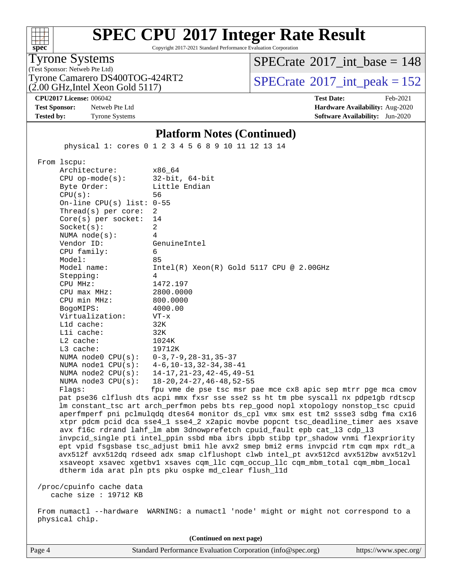| s<br>ne<br>L. |  |  |  |  |  |
|---------------|--|--|--|--|--|

Copyright 2017-2021 Standard Performance Evaluation Corporation

Tyrone Systems

(Test Sponsor: Netweb Pte Ltd) (2.00 GHz,Intel Xeon Gold 5117)  $SPECTate$ <sup>®</sup>[2017\\_int\\_base =](http://www.spec.org/auto/cpu2017/Docs/result-fields.html#SPECrate2017intbase) 148

Tyrone Camarero DS400TOG-424RT2  $\vert$  [SPECrate](http://www.spec.org/auto/cpu2017/Docs/result-fields.html#SPECrate2017intpeak)  $^{\circ}2017$  int peak = 152

**[CPU2017 License:](http://www.spec.org/auto/cpu2017/Docs/result-fields.html#CPU2017License)** 006042 **[Test Date:](http://www.spec.org/auto/cpu2017/Docs/result-fields.html#TestDate)** Feb-2021 **[Test Sponsor:](http://www.spec.org/auto/cpu2017/Docs/result-fields.html#TestSponsor)** Netweb Pte Ltd **[Hardware Availability:](http://www.spec.org/auto/cpu2017/Docs/result-fields.html#HardwareAvailability)** Aug-2020 **[Tested by:](http://www.spec.org/auto/cpu2017/Docs/result-fields.html#Testedby)** Tyrone Systems **[Software Availability:](http://www.spec.org/auto/cpu2017/Docs/result-fields.html#SoftwareAvailability)** Jun-2020

#### **[Platform Notes \(Continued\)](http://www.spec.org/auto/cpu2017/Docs/result-fields.html#PlatformNotes)**

physical 1: cores 0 1 2 3 4 5 6 8 9 10 11 12 13 14

From lscpu:

Architecture: x86\_64<br>CPU op-mode(s): 32-bit, 64-bit CPU op-mode $(s)$ : Byte Order: Little Endian CPU(s): 56 On-line CPU(s) list: 0-55 Thread(s) per core: 2 Core(s) per socket: 14 Socket(s): 2 NUMA node(s): 4 Vendor ID: GenuineIntel CPU family: 6 Model: 85 Model name: Intel(R) Xeon(R) Gold 5117 CPU @ 2.00GHz Stepping: 4 CPU MHz: 1472.197 CPU max MHz: 2800.0000 CPU min MHz: 800.0000 BogoMIPS: 4000.00 Virtualization: VT-x L1d cache: 32K L1i cache: 32K L2 cache: 1024K L3 cache: 19712K NUMA node0 CPU(s): 0-3,7-9,28-31,35-37 NUMA node1 CPU(s): 4-6,10-13,32-34,38-41 NUMA node2 CPU(s): 14-17,21-23,42-45,49-51 NUMA node3 CPU(s): 18-20,24-27,46-48,52-55 Flags: fpu vme de pse tsc msr pae mce cx8 apic sep mtrr pge mca cmov

 pat pse36 clflush dts acpi mmx fxsr sse sse2 ss ht tm pbe syscall nx pdpe1gb rdtscp lm constant\_tsc art arch\_perfmon pebs bts rep\_good nopl xtopology nonstop\_tsc cpuid aperfmperf pni pclmulqdq dtes64 monitor ds\_cpl vmx smx est tm2 ssse3 sdbg fma cx16 xtpr pdcm pcid dca sse4\_1 sse4\_2 x2apic movbe popcnt tsc\_deadline\_timer aes xsave avx f16c rdrand lahf\_lm abm 3dnowprefetch cpuid\_fault epb cat\_l3 cdp\_l3 invpcid\_single pti intel\_ppin ssbd mba ibrs ibpb stibp tpr\_shadow vnmi flexpriority ept vpid fsgsbase tsc\_adjust bmi1 hle avx2 smep bmi2 erms invpcid rtm cqm mpx rdt\_a avx512f avx512dq rdseed adx smap clflushopt clwb intel\_pt avx512cd avx512bw avx512vl xsaveopt xsavec xgetbv1 xsaves cqm\_llc cqm\_occup\_llc cqm\_mbm\_total cqm\_mbm\_local dtherm ida arat pln pts pku ospke md\_clear flush\_l1d

 /proc/cpuinfo cache data cache size : 19712 KB

 From numactl --hardware WARNING: a numactl 'node' might or might not correspond to a physical chip.

Page 4 Standard Performance Evaluation Corporation [\(info@spec.org\)](mailto:info@spec.org) <https://www.spec.org/> **(Continued on next page)**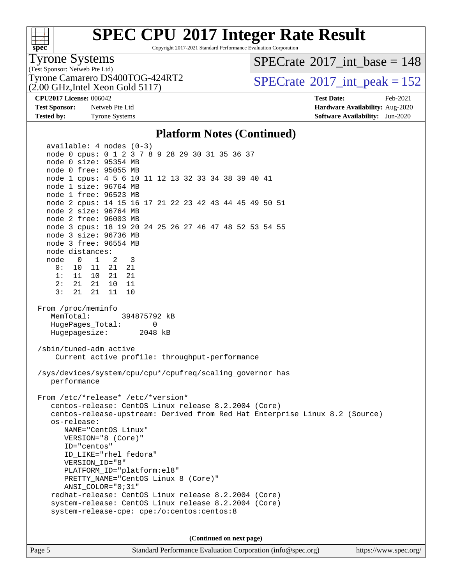| S<br>e<br>1)<br>L. |  |  |  |  |  |
|--------------------|--|--|--|--|--|

Copyright 2017-2021 Standard Performance Evaluation Corporation

### Tyrone Systems

(Test Sponsor: Netweb Pte Ltd) (2.00 GHz,Intel Xeon Gold 5117)  $SPECTate$ <sup>®</sup>[2017\\_int\\_base =](http://www.spec.org/auto/cpu2017/Docs/result-fields.html#SPECrate2017intbase) 148

Tyrone Camarero DS400TOG-424RT2  $\vert$  [SPECrate](http://www.spec.org/auto/cpu2017/Docs/result-fields.html#SPECrate2017intpeak)  $2017$ \_int\_peak = 152

**[Test Sponsor:](http://www.spec.org/auto/cpu2017/Docs/result-fields.html#TestSponsor)** Netweb Pte Ltd **[Hardware Availability:](http://www.spec.org/auto/cpu2017/Docs/result-fields.html#HardwareAvailability)** Aug-2020 **[Tested by:](http://www.spec.org/auto/cpu2017/Docs/result-fields.html#Testedby)** Tyrone Systems **[Software Availability:](http://www.spec.org/auto/cpu2017/Docs/result-fields.html#SoftwareAvailability)** Jun-2020

**[CPU2017 License:](http://www.spec.org/auto/cpu2017/Docs/result-fields.html#CPU2017License)** 006042 **[Test Date:](http://www.spec.org/auto/cpu2017/Docs/result-fields.html#TestDate)** Feb-2021

#### **[Platform Notes \(Continued\)](http://www.spec.org/auto/cpu2017/Docs/result-fields.html#PlatformNotes)**

 available: 4 nodes (0-3) node 0 cpus: 0 1 2 3 7 8 9 28 29 30 31 35 36 37 node 0 size: 95354 MB node 0 free: 95055 MB node 1 cpus: 4 5 6 10 11 12 13 32 33 34 38 39 40 41 node 1 size: 96764 MB node 1 free: 96523 MB node 2 cpus: 14 15 16 17 21 22 23 42 43 44 45 49 50 51 node 2 size: 96764 MB node 2 free: 96003 MB node 3 cpus: 18 19 20 24 25 26 27 46 47 48 52 53 54 55 node 3 size: 96736 MB node 3 free: 96554 MB node distances: node 0 1 2 3 0: 10 11 21 21 1: 11 10 21 21 2: 21 21 10 11 3: 21 21 11 10 From /proc/meminfo MemTotal: 394875792 kB HugePages\_Total: 0 Hugepagesize: 2048 kB /sbin/tuned-adm active Current active profile: throughput-performance /sys/devices/system/cpu/cpu\*/cpufreq/scaling\_governor has performance From /etc/\*release\* /etc/\*version\* centos-release: CentOS Linux release 8.2.2004 (Core) centos-release-upstream: Derived from Red Hat Enterprise Linux 8.2 (Source) os-release: NAME="CentOS Linux" VERSION="8 (Core)" ID="centos" ID\_LIKE="rhel fedora" VERSION\_ID="8" PLATFORM\_ID="platform:el8" PRETTY\_NAME="CentOS Linux 8 (Core)" ANSI\_COLOR="0;31" redhat-release: CentOS Linux release 8.2.2004 (Core) system-release: CentOS Linux release 8.2.2004 (Core) system-release-cpe: cpe:/o:centos:centos:8 **(Continued on next page)**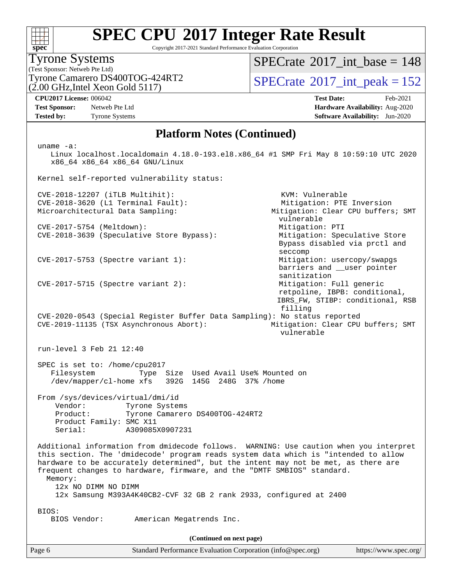| S<br>ne<br>Ľ |  |  |  |  |  |
|--------------|--|--|--|--|--|

Copyright 2017-2021 Standard Performance Evaluation Corporation

#### (Test Sponsor: Netweb Pte Ltd) Tyrone Systems

 $(2.00 \text{ GHz}$ , Intel Xeon Gold 5117) Tyrone Camarero DS400TOG-424RT2  $\vert$  [SPECrate](http://www.spec.org/auto/cpu2017/Docs/result-fields.html#SPECrate2017intpeak)  $^{\circ}2017$  int peak = 152

[SPECrate](http://www.spec.org/auto/cpu2017/Docs/result-fields.html#SPECrate2017intbase)<sup>®</sup>2017 int base = 148

Bypass disabled via prctl and

 barriers and \_\_user pointer sanitization<br>Mitigation: Full generic

retpoline, IBPB: conditional,

vulnerable

**[Tested by:](http://www.spec.org/auto/cpu2017/Docs/result-fields.html#Testedby)** Tyrone Systems **[Software Availability:](http://www.spec.org/auto/cpu2017/Docs/result-fields.html#SoftwareAvailability)** Jun-2020

**[CPU2017 License:](http://www.spec.org/auto/cpu2017/Docs/result-fields.html#CPU2017License)** 006042 **[Test Date:](http://www.spec.org/auto/cpu2017/Docs/result-fields.html#TestDate)** Feb-2021 **[Test Sponsor:](http://www.spec.org/auto/cpu2017/Docs/result-fields.html#TestSponsor)** Netweb Pte Ltd **[Hardware Availability:](http://www.spec.org/auto/cpu2017/Docs/result-fields.html#HardwareAvailability)** Aug-2020

#### **[Platform Notes \(Continued\)](http://www.spec.org/auto/cpu2017/Docs/result-fields.html#PlatformNotes)**

uname -a:

 Linux localhost.localdomain 4.18.0-193.el8.x86\_64 #1 SMP Fri May 8 10:59:10 UTC 2020 x86\_64 x86\_64 x86\_64 GNU/Linux

Kernel self-reported vulnerability status:

 CVE-2018-12207 (iTLB Multihit): KVM: Vulnerable CVE-2018-3620 (L1 Terminal Fault): Mitigation: PTE Inversion Microarchitectural Data Sampling: Mitigation: Clear CPU buffers; SMT

CVE-2017-5754 (Meltdown): Mitigation: PTI CVE-2018-3639 (Speculative Store Bypass): Mitigation: Speculative Store

CVE-2017-5753 (Spectre variant 1): Mitigation: usercopy/swapgs

 $CVE-2017-5715$  (Spectre variant 2):

 IBRS\_FW, STIBP: conditional, RSB filling CVE-2020-0543 (Special Register Buffer Data Sampling): No status reported

 CVE-2019-11135 (TSX Asynchronous Abort): Mitigation: Clear CPU buffers; SMT vulnerable

run-level 3 Feb 21 12:40

 SPEC is set to: /home/cpu2017 Filesystem Type Size Used Avail Use% Mounted on /dev/mapper/cl-home xfs 392G 145G 248G 37% /home

seccompany and the contract of the contract of the contract of the contract of the contract of the contract of

 From /sys/devices/virtual/dmi/id Vendor: Tyrone Systems Product: Tyrone Camarero DS400TOG-424RT2 Product Family: SMC X11 Serial: A309085X0907231

 Additional information from dmidecode follows. WARNING: Use caution when you interpret this section. The 'dmidecode' program reads system data which is "intended to allow hardware to be accurately determined", but the intent may not be met, as there are frequent changes to hardware, firmware, and the "DMTF SMBIOS" standard. Memory: 12x NO DIMM NO DIMM 12x Samsung M393A4K40CB2-CVF 32 GB 2 rank 2933, configured at 2400 BIOS: BIOS Vendor: American Megatrends Inc.

**(Continued on next page)**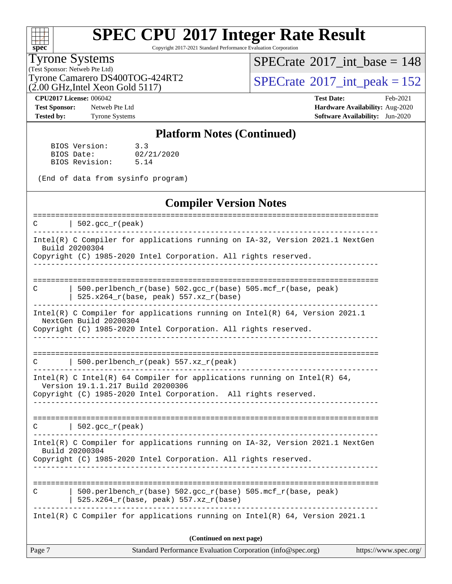# **[spec](http://www.spec.org/)**

# **[SPEC CPU](http://www.spec.org/auto/cpu2017/Docs/result-fields.html#SPECCPU2017IntegerRateResult)[2017 Integer Rate Result](http://www.spec.org/auto/cpu2017/Docs/result-fields.html#SPECCPU2017IntegerRateResult)**

Copyright 2017-2021 Standard Performance Evaluation Corporation

#### Tyrone Systems

(Test Sponsor: Netweb Pte Ltd)  $(2.00 \text{ GHz}, \text{Intel} \text{ Xeon} \text{ Gold } 5117)$   $SPECrate$ <sup>®</sup>[2017\\_int\\_base =](http://www.spec.org/auto/cpu2017/Docs/result-fields.html#SPECrate2017intbase) 148

Tyrone Camarero DS400TOG-424RT2  $\begin{array}{c|c} | \text{SPECrate} \text{?} 2017\_int\_peak = 152 \\ \hline \end{array}$  $\begin{array}{c|c} | \text{SPECrate} \text{?} 2017\_int\_peak = 152 \\ \hline \end{array}$  $\begin{array}{c|c} | \text{SPECrate} \text{?} 2017\_int\_peak = 152 \\ \hline \end{array}$ 

**[Tested by:](http://www.spec.org/auto/cpu2017/Docs/result-fields.html#Testedby)** Tyrone Systems **[Software Availability:](http://www.spec.org/auto/cpu2017/Docs/result-fields.html#SoftwareAvailability)** Jun-2020

**[CPU2017 License:](http://www.spec.org/auto/cpu2017/Docs/result-fields.html#CPU2017License)** 006042 **[Test Date:](http://www.spec.org/auto/cpu2017/Docs/result-fields.html#TestDate)** Feb-2021 **[Test Sponsor:](http://www.spec.org/auto/cpu2017/Docs/result-fields.html#TestSponsor)** Netweb Pte Ltd **[Hardware Availability:](http://www.spec.org/auto/cpu2017/Docs/result-fields.html#HardwareAvailability)** Aug-2020

#### **[Platform Notes \(Continued\)](http://www.spec.org/auto/cpu2017/Docs/result-fields.html#PlatformNotes)**

| BIOS Version:  | 3.3        |
|----------------|------------|
| BIOS Date:     | 02/21/2020 |
| BIOS Revision: | 5.14       |

(End of data from sysinfo program)

#### **[Compiler Version Notes](http://www.spec.org/auto/cpu2017/Docs/result-fields.html#CompilerVersionNotes)**

| Page 7 | Standard Performance Evaluation Corporation (info@spec.org)                                                                                                                      | https://www.spec.org/            |
|--------|----------------------------------------------------------------------------------------------------------------------------------------------------------------------------------|----------------------------------|
|        | (Continued on next page)                                                                                                                                                         |                                  |
|        | Intel(R) C Compiler for applications running on Intel(R) $64$ , Version 2021.1                                                                                                   |                                  |
| C      | 500.perlbench_r(base) 502.gcc_r(base) 505.mcf_r(base, peak)<br>$525.x264_r(base, peak) 557.xz_r(base)$                                                                           |                                  |
|        | Intel(R) C Compiler for applications running on IA-32, Version 2021.1 NextGen<br>Build 20200304<br>Copyright (C) 1985-2020 Intel Corporation. All rights reserved.               |                                  |
|        | $C$   502. qcc $r$ (peak)                                                                                                                                                        |                                  |
|        | Intel(R) C Intel(R) 64 Compiler for applications running on Intel(R) 64,<br>Version 19.1.1.217 Build 20200306<br>Copyright (C) 1985-2020 Intel Corporation. All rights reserved. |                                  |
| C      | 500.perlbench_r(peak) 557.xz_r(peak)                                                                                                                                             |                                  |
|        | Intel(R) C Compiler for applications running on Intel(R) 64, Version 2021.1<br>NextGen Build 20200304<br>Copyright (C) 1985-2020 Intel Corporation. All rights reserved.         |                                  |
| C      | 500.perlbench_r(base) 502.gcc_r(base) 505.mcf_r(base, peak)<br>525.x264_r(base, peak) 557.xz_r(base)                                                                             |                                  |
|        | Intel(R) C Compiler for applications running on IA-32, Version 2021.1 NextGen<br>Build 20200304<br>Copyright (C) 1985-2020 Intel Corporation. All rights reserved.               |                                  |
| C      | ============================<br>$\vert$ 502.gcc_r(peak)                                                                                                                          | ================================ |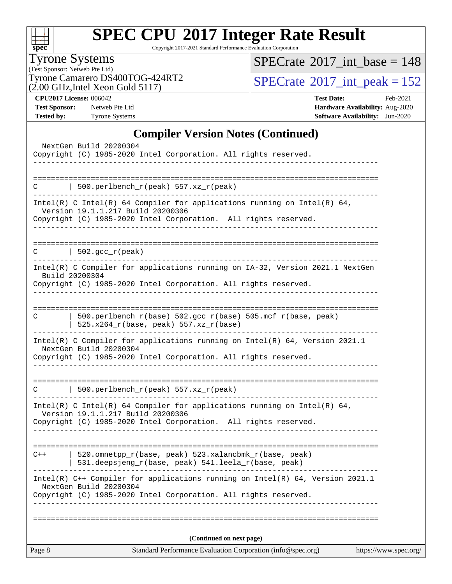| S<br>æ<br>n<br>I<br>L. |  |  |  |  |  |
|------------------------|--|--|--|--|--|

Copyright 2017-2021 Standard Performance Evaluation Corporation

Tyrone Systems

(Test Sponsor: Netweb Pte Ltd)<br>Tyrone Camarero DS400TOG-424RT2  $(2.00 \text{ GHz}, \text{Intel} \text{ Xeon} \text{ Gold } 5117)$ 

 $SPECrate$ <sup>®</sup>[2017\\_int\\_base =](http://www.spec.org/auto/cpu2017/Docs/result-fields.html#SPECrate2017intbase) 148

 $SPECTate$ <sup>®</sup>[2017\\_int\\_peak = 1](http://www.spec.org/auto/cpu2017/Docs/result-fields.html#SPECrate2017intpeak)52

**[CPU2017 License:](http://www.spec.org/auto/cpu2017/Docs/result-fields.html#CPU2017License)** 006042 **[Test Date:](http://www.spec.org/auto/cpu2017/Docs/result-fields.html#TestDate)** Feb-2021 **[Test Sponsor:](http://www.spec.org/auto/cpu2017/Docs/result-fields.html#TestSponsor)** Netweb Pte Ltd **[Hardware Availability:](http://www.spec.org/auto/cpu2017/Docs/result-fields.html#HardwareAvailability)** Aug-2020 **[Tested by:](http://www.spec.org/auto/cpu2017/Docs/result-fields.html#Testedby)** Tyrone Systems **[Software Availability:](http://www.spec.org/auto/cpu2017/Docs/result-fields.html#SoftwareAvailability)** Jun-2020

#### **[Compiler Version Notes \(Continued\)](http://www.spec.org/auto/cpu2017/Docs/result-fields.html#CompilerVersionNotes)**

|        | NextGen Build 20200304<br>Copyright (C) 1985-2020 Intel Corporation. All rights reserved.                                                                                                                        |                       |
|--------|------------------------------------------------------------------------------------------------------------------------------------------------------------------------------------------------------------------|-----------------------|
|        |                                                                                                                                                                                                                  |                       |
| С      | 500.perlbench_r(peak) 557.xz_r(peak)                                                                                                                                                                             |                       |
|        | Intel(R) C Intel(R) 64 Compiler for applications running on Intel(R) 64,<br>Version 19.1.1.217 Build 20200306<br>Copyright (C) 1985-2020 Intel Corporation. All rights reserved.<br>---------------------------- |                       |
|        | $C$   502.gcc_r(peak)<br>-------------------------------------                                                                                                                                                   |                       |
|        | Intel(R) C Compiler for applications running on IA-32, Version 2021.1 NextGen<br>Build 20200304<br>Copyright (C) 1985-2020 Intel Corporation. All rights reserved.                                               |                       |
| С      | 500.perlbench_r(base) 502.gcc_r(base) 505.mcf_r(base, peak)<br>$525.x264_r(base, peak) 557.xz_r(base)$                                                                                                           |                       |
|        | Intel(R) C Compiler for applications running on Intel(R) 64, Version 2021.1<br>NextGen Build 20200304<br>Copyright (C) 1985-2020 Intel Corporation. All rights reserved.                                         |                       |
| C      | $500.perlbench_r(peak) 557. xz_r(peak)$                                                                                                                                                                          |                       |
|        | Intel(R) C Intel(R) 64 Compiler for applications running on Intel(R) 64,<br>Version 19.1.1.217 Build 20200306<br>Copyright (C) 1985-2020 Intel Corporation. All rights reserved.                                 |                       |
| $C++$  | 520.omnetpp_r(base, peak) 523.xalancbmk_r(base, peak)<br>531.deepsjeng_r(base, peak) 541.leela_r(base, peak)                                                                                                     |                       |
|        | Intel(R) C++ Compiler for applications running on Intel(R) 64, Version 2021.1<br>NextGen Build 20200304<br>Copyright (C) 1985-2020 Intel Corporation. All rights reserved.                                       |                       |
|        | (Continued on next page)                                                                                                                                                                                         |                       |
| Page 8 | Standard Performance Evaluation Corporation (info@spec.org)                                                                                                                                                      | https://www.spec.org/ |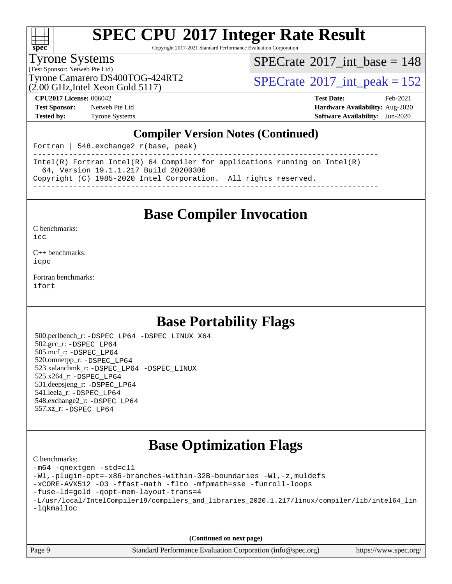

Copyright 2017-2021 Standard Performance Evaluation Corporation

#### Tyrone Systems

(Test Sponsor: Netweb Pte Ltd) (2.00 GHz,Intel Xeon Gold 5117)  $SPECTate@2017_int\_base = 148$ 

Tyrone Camarero DS400TOG-424RT2  $\vert$  [SPECrate](http://www.spec.org/auto/cpu2017/Docs/result-fields.html#SPECrate2017intpeak) [2017\\_int\\_peak = 1](http://www.spec.org/auto/cpu2017/Docs/result-fields.html#SPECrate2017intpeak)52

**[Test Sponsor:](http://www.spec.org/auto/cpu2017/Docs/result-fields.html#TestSponsor)** Netweb Pte Ltd **[Hardware Availability:](http://www.spec.org/auto/cpu2017/Docs/result-fields.html#HardwareAvailability)** Aug-2020

**[CPU2017 License:](http://www.spec.org/auto/cpu2017/Docs/result-fields.html#CPU2017License)** 006042 **[Test Date:](http://www.spec.org/auto/cpu2017/Docs/result-fields.html#TestDate)** Feb-2021 **[Tested by:](http://www.spec.org/auto/cpu2017/Docs/result-fields.html#Testedby)** Tyrone Systems **[Software Availability:](http://www.spec.org/auto/cpu2017/Docs/result-fields.html#SoftwareAvailability)** Jun-2020

#### **[Compiler Version Notes \(Continued\)](http://www.spec.org/auto/cpu2017/Docs/result-fields.html#CompilerVersionNotes)**

Fortran | 548.exchange2\_r(base, peak)

------------------------------------------------------------------------------ Intel(R) Fortran Intel(R) 64 Compiler for applications running on Intel(R) 64, Version 19.1.1.217 Build 20200306 Copyright (C) 1985-2020 Intel Corporation. All rights reserved. ------------------------------------------------------------------------------

### **[Base Compiler Invocation](http://www.spec.org/auto/cpu2017/Docs/result-fields.html#BaseCompilerInvocation)**

[C benchmarks](http://www.spec.org/auto/cpu2017/Docs/result-fields.html#Cbenchmarks):

[icc](http://www.spec.org/cpu2017/results/res2021q1/cpu2017-20210227-25024.flags.html#user_CCbase_intel_icc_66fc1ee009f7361af1fbd72ca7dcefbb700085f36577c54f309893dd4ec40d12360134090235512931783d35fd58c0460139e722d5067c5574d8eaf2b3e37e92)

[C++ benchmarks:](http://www.spec.org/auto/cpu2017/Docs/result-fields.html#CXXbenchmarks) [icpc](http://www.spec.org/cpu2017/results/res2021q1/cpu2017-20210227-25024.flags.html#user_CXXbase_intel_icpc_c510b6838c7f56d33e37e94d029a35b4a7bccf4766a728ee175e80a419847e808290a9b78be685c44ab727ea267ec2f070ec5dc83b407c0218cded6866a35d07)

[Fortran benchmarks](http://www.spec.org/auto/cpu2017/Docs/result-fields.html#Fortranbenchmarks): [ifort](http://www.spec.org/cpu2017/results/res2021q1/cpu2017-20210227-25024.flags.html#user_FCbase_intel_ifort_8111460550e3ca792625aed983ce982f94888b8b503583aa7ba2b8303487b4d8a21a13e7191a45c5fd58ff318f48f9492884d4413fa793fd88dd292cad7027ca)

### **[Base Portability Flags](http://www.spec.org/auto/cpu2017/Docs/result-fields.html#BasePortabilityFlags)**

 500.perlbench\_r: [-DSPEC\\_LP64](http://www.spec.org/cpu2017/results/res2021q1/cpu2017-20210227-25024.flags.html#b500.perlbench_r_basePORTABILITY_DSPEC_LP64) [-DSPEC\\_LINUX\\_X64](http://www.spec.org/cpu2017/results/res2021q1/cpu2017-20210227-25024.flags.html#b500.perlbench_r_baseCPORTABILITY_DSPEC_LINUX_X64) 502.gcc\_r: [-DSPEC\\_LP64](http://www.spec.org/cpu2017/results/res2021q1/cpu2017-20210227-25024.flags.html#suite_basePORTABILITY502_gcc_r_DSPEC_LP64) 505.mcf\_r: [-DSPEC\\_LP64](http://www.spec.org/cpu2017/results/res2021q1/cpu2017-20210227-25024.flags.html#suite_basePORTABILITY505_mcf_r_DSPEC_LP64) 520.omnetpp\_r: [-DSPEC\\_LP64](http://www.spec.org/cpu2017/results/res2021q1/cpu2017-20210227-25024.flags.html#suite_basePORTABILITY520_omnetpp_r_DSPEC_LP64) 523.xalancbmk\_r: [-DSPEC\\_LP64](http://www.spec.org/cpu2017/results/res2021q1/cpu2017-20210227-25024.flags.html#suite_basePORTABILITY523_xalancbmk_r_DSPEC_LP64) [-DSPEC\\_LINUX](http://www.spec.org/cpu2017/results/res2021q1/cpu2017-20210227-25024.flags.html#b523.xalancbmk_r_baseCXXPORTABILITY_DSPEC_LINUX) 525.x264\_r: [-DSPEC\\_LP64](http://www.spec.org/cpu2017/results/res2021q1/cpu2017-20210227-25024.flags.html#suite_basePORTABILITY525_x264_r_DSPEC_LP64) 531.deepsjeng\_r: [-DSPEC\\_LP64](http://www.spec.org/cpu2017/results/res2021q1/cpu2017-20210227-25024.flags.html#suite_basePORTABILITY531_deepsjeng_r_DSPEC_LP64) 541.leela\_r: [-DSPEC\\_LP64](http://www.spec.org/cpu2017/results/res2021q1/cpu2017-20210227-25024.flags.html#suite_basePORTABILITY541_leela_r_DSPEC_LP64) 548.exchange2\_r: [-DSPEC\\_LP64](http://www.spec.org/cpu2017/results/res2021q1/cpu2017-20210227-25024.flags.html#suite_basePORTABILITY548_exchange2_r_DSPEC_LP64) 557.xz\_r: [-DSPEC\\_LP64](http://www.spec.org/cpu2017/results/res2021q1/cpu2017-20210227-25024.flags.html#suite_basePORTABILITY557_xz_r_DSPEC_LP64)

### **[Base Optimization Flags](http://www.spec.org/auto/cpu2017/Docs/result-fields.html#BaseOptimizationFlags)**

[C benchmarks](http://www.spec.org/auto/cpu2017/Docs/result-fields.html#Cbenchmarks):

```
-m64 -qnextgen -std=c11
-Wl,-plugin-opt=-x86-branches-within-32B-boundaries -Wl,-z,muldefs
-xCORE-AVX512 -O3 -ffast-math -flto -mfpmath=sse -funroll-loops
-fuse-ld=gold -qopt-mem-layout-trans=4
-L/usr/local/IntelCompiler19/compilers_and_libraries_2020.1.217/linux/compiler/lib/intel64_lin
-lqkmalloc
```
**(Continued on next page)**

| Page 9 |  |
|--------|--|
|        |  |

Standard Performance Evaluation Corporation [\(info@spec.org\)](mailto:info@spec.org) <https://www.spec.org/>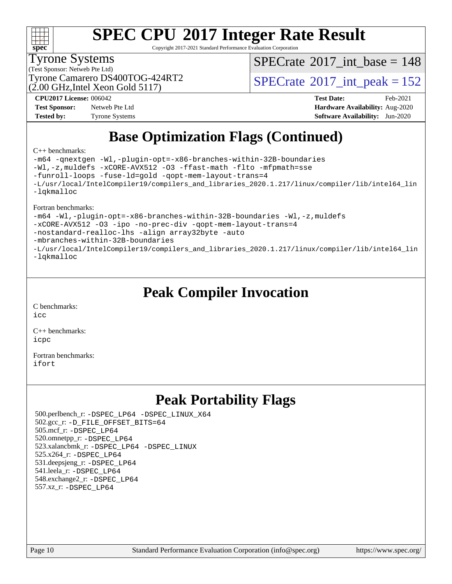

Copyright 2017-2021 Standard Performance Evaluation Corporation

#### Tyrone Systems

(Test Sponsor: Netweb Pte Ltd)

(2.00 GHz,Intel Xeon Gold 5117) Tyrone Camarero DS400TOG-424RT2  $\vert$  [SPECrate](http://www.spec.org/auto/cpu2017/Docs/result-fields.html#SPECrate2017intpeak)  $2017$  int peak = 152

 $SPECTate$ <sup>®</sup>[2017\\_int\\_base =](http://www.spec.org/auto/cpu2017/Docs/result-fields.html#SPECrate2017intbase) 148

**[Test Sponsor:](http://www.spec.org/auto/cpu2017/Docs/result-fields.html#TestSponsor)** Netweb Pte Ltd **[Hardware Availability:](http://www.spec.org/auto/cpu2017/Docs/result-fields.html#HardwareAvailability)** Aug-2020 **[Tested by:](http://www.spec.org/auto/cpu2017/Docs/result-fields.html#Testedby)** Tyrone Systems **[Software Availability:](http://www.spec.org/auto/cpu2017/Docs/result-fields.html#SoftwareAvailability)** Jun-2020

**[CPU2017 License:](http://www.spec.org/auto/cpu2017/Docs/result-fields.html#CPU2017License)** 006042 **[Test Date:](http://www.spec.org/auto/cpu2017/Docs/result-fields.html#TestDate)** Feb-2021

## **[Base Optimization Flags \(Continued\)](http://www.spec.org/auto/cpu2017/Docs/result-fields.html#BaseOptimizationFlags)**

#### [C++ benchmarks:](http://www.spec.org/auto/cpu2017/Docs/result-fields.html#CXXbenchmarks)

[-m64](http://www.spec.org/cpu2017/results/res2021q1/cpu2017-20210227-25024.flags.html#user_CXXbase_m64-icc) [-qnextgen](http://www.spec.org/cpu2017/results/res2021q1/cpu2017-20210227-25024.flags.html#user_CXXbase_f-qnextgen) [-Wl,-plugin-opt=-x86-branches-within-32B-boundaries](http://www.spec.org/cpu2017/results/res2021q1/cpu2017-20210227-25024.flags.html#user_CXXbase_f-x86-branches-within-32B-boundaries_0098b4e4317ae60947b7b728078a624952a08ac37a3c797dfb4ffeb399e0c61a9dd0f2f44ce917e9361fb9076ccb15e7824594512dd315205382d84209e912f3) [-Wl,-z,muldefs](http://www.spec.org/cpu2017/results/res2021q1/cpu2017-20210227-25024.flags.html#user_CXXbase_link_force_multiple1_b4cbdb97b34bdee9ceefcfe54f4c8ea74255f0b02a4b23e853cdb0e18eb4525ac79b5a88067c842dd0ee6996c24547a27a4b99331201badda8798ef8a743f577) [-xCORE-AVX512](http://www.spec.org/cpu2017/results/res2021q1/cpu2017-20210227-25024.flags.html#user_CXXbase_f-xCORE-AVX512) [-O3](http://www.spec.org/cpu2017/results/res2021q1/cpu2017-20210227-25024.flags.html#user_CXXbase_f-O3) [-ffast-math](http://www.spec.org/cpu2017/results/res2021q1/cpu2017-20210227-25024.flags.html#user_CXXbase_f-ffast-math) [-flto](http://www.spec.org/cpu2017/results/res2021q1/cpu2017-20210227-25024.flags.html#user_CXXbase_f-flto) [-mfpmath=sse](http://www.spec.org/cpu2017/results/res2021q1/cpu2017-20210227-25024.flags.html#user_CXXbase_f-mfpmath_70eb8fac26bde974f8ab713bc9086c5621c0b8d2f6c86f38af0bd7062540daf19db5f3a066d8c6684be05d84c9b6322eb3b5be6619d967835195b93d6c02afa1) [-funroll-loops](http://www.spec.org/cpu2017/results/res2021q1/cpu2017-20210227-25024.flags.html#user_CXXbase_f-funroll-loops) [-fuse-ld=gold](http://www.spec.org/cpu2017/results/res2021q1/cpu2017-20210227-25024.flags.html#user_CXXbase_f-fuse-ld_920b3586e2b8c6e0748b9c84fa9b744736ba725a32cab14ad8f3d4ad28eecb2f59d1144823d2e17006539a88734fe1fc08fc3035f7676166309105a78aaabc32) [-qopt-mem-layout-trans=4](http://www.spec.org/cpu2017/results/res2021q1/cpu2017-20210227-25024.flags.html#user_CXXbase_f-qopt-mem-layout-trans_fa39e755916c150a61361b7846f310bcdf6f04e385ef281cadf3647acec3f0ae266d1a1d22d972a7087a248fd4e6ca390a3634700869573d231a252c784941a8) [-L/usr/local/IntelCompiler19/compilers\\_and\\_libraries\\_2020.1.217/linux/compiler/lib/intel64\\_lin](http://www.spec.org/cpu2017/results/res2021q1/cpu2017-20210227-25024.flags.html#user_CXXbase_linkpath_2cb6f503891ebf8baee7515f4e7d4ec1217444d1d05903cc0091ac4158de400651d2b2313a9fa414cb8a8f0e16ab029634f5c6db340f400369c190d4db8a54a0) [-lqkmalloc](http://www.spec.org/cpu2017/results/res2021q1/cpu2017-20210227-25024.flags.html#user_CXXbase_qkmalloc_link_lib_79a818439969f771c6bc311cfd333c00fc099dad35c030f5aab9dda831713d2015205805422f83de8875488a2991c0a156aaa600e1f9138f8fc37004abc96dc5)

[Fortran benchmarks:](http://www.spec.org/auto/cpu2017/Docs/result-fields.html#Fortranbenchmarks)

[-m64](http://www.spec.org/cpu2017/results/res2021q1/cpu2017-20210227-25024.flags.html#user_FCbase_m64-icc) [-Wl,-plugin-opt=-x86-branches-within-32B-boundaries](http://www.spec.org/cpu2017/results/res2021q1/cpu2017-20210227-25024.flags.html#user_FCbase_f-x86-branches-within-32B-boundaries_0098b4e4317ae60947b7b728078a624952a08ac37a3c797dfb4ffeb399e0c61a9dd0f2f44ce917e9361fb9076ccb15e7824594512dd315205382d84209e912f3) [-Wl,-z,muldefs](http://www.spec.org/cpu2017/results/res2021q1/cpu2017-20210227-25024.flags.html#user_FCbase_link_force_multiple1_b4cbdb97b34bdee9ceefcfe54f4c8ea74255f0b02a4b23e853cdb0e18eb4525ac79b5a88067c842dd0ee6996c24547a27a4b99331201badda8798ef8a743f577) [-xCORE-AVX512](http://www.spec.org/cpu2017/results/res2021q1/cpu2017-20210227-25024.flags.html#user_FCbase_f-xCORE-AVX512) [-O3](http://www.spec.org/cpu2017/results/res2021q1/cpu2017-20210227-25024.flags.html#user_FCbase_f-O3) [-ipo](http://www.spec.org/cpu2017/results/res2021q1/cpu2017-20210227-25024.flags.html#user_FCbase_f-ipo) [-no-prec-div](http://www.spec.org/cpu2017/results/res2021q1/cpu2017-20210227-25024.flags.html#user_FCbase_f-no-prec-div) [-qopt-mem-layout-trans=4](http://www.spec.org/cpu2017/results/res2021q1/cpu2017-20210227-25024.flags.html#user_FCbase_f-qopt-mem-layout-trans_fa39e755916c150a61361b7846f310bcdf6f04e385ef281cadf3647acec3f0ae266d1a1d22d972a7087a248fd4e6ca390a3634700869573d231a252c784941a8) [-nostandard-realloc-lhs](http://www.spec.org/cpu2017/results/res2021q1/cpu2017-20210227-25024.flags.html#user_FCbase_f_2003_std_realloc_82b4557e90729c0f113870c07e44d33d6f5a304b4f63d4c15d2d0f1fab99f5daaed73bdb9275d9ae411527f28b936061aa8b9c8f2d63842963b95c9dd6426b8a) [-align array32byte](http://www.spec.org/cpu2017/results/res2021q1/cpu2017-20210227-25024.flags.html#user_FCbase_align_array32byte_b982fe038af199962ba9a80c053b8342c548c85b40b8e86eb3cc33dee0d7986a4af373ac2d51c3f7cf710a18d62fdce2948f201cd044323541f22fc0fffc51b6) [-auto](http://www.spec.org/cpu2017/results/res2021q1/cpu2017-20210227-25024.flags.html#user_FCbase_f-auto) [-mbranches-within-32B-boundaries](http://www.spec.org/cpu2017/results/res2021q1/cpu2017-20210227-25024.flags.html#user_FCbase_f-mbranches-within-32B-boundaries) [-L/usr/local/IntelCompiler19/compilers\\_and\\_libraries\\_2020.1.217/linux/compiler/lib/intel64\\_lin](http://www.spec.org/cpu2017/results/res2021q1/cpu2017-20210227-25024.flags.html#user_FCbase_linkpath_2cb6f503891ebf8baee7515f4e7d4ec1217444d1d05903cc0091ac4158de400651d2b2313a9fa414cb8a8f0e16ab029634f5c6db340f400369c190d4db8a54a0) [-lqkmalloc](http://www.spec.org/cpu2017/results/res2021q1/cpu2017-20210227-25024.flags.html#user_FCbase_qkmalloc_link_lib_79a818439969f771c6bc311cfd333c00fc099dad35c030f5aab9dda831713d2015205805422f83de8875488a2991c0a156aaa600e1f9138f8fc37004abc96dc5)

### **[Peak Compiler Invocation](http://www.spec.org/auto/cpu2017/Docs/result-fields.html#PeakCompilerInvocation)**

[C benchmarks](http://www.spec.org/auto/cpu2017/Docs/result-fields.html#Cbenchmarks): [icc](http://www.spec.org/cpu2017/results/res2021q1/cpu2017-20210227-25024.flags.html#user_CCpeak_intel_icc_66fc1ee009f7361af1fbd72ca7dcefbb700085f36577c54f309893dd4ec40d12360134090235512931783d35fd58c0460139e722d5067c5574d8eaf2b3e37e92)

[C++ benchmarks:](http://www.spec.org/auto/cpu2017/Docs/result-fields.html#CXXbenchmarks) [icpc](http://www.spec.org/cpu2017/results/res2021q1/cpu2017-20210227-25024.flags.html#user_CXXpeak_intel_icpc_c510b6838c7f56d33e37e94d029a35b4a7bccf4766a728ee175e80a419847e808290a9b78be685c44ab727ea267ec2f070ec5dc83b407c0218cded6866a35d07)

[Fortran benchmarks](http://www.spec.org/auto/cpu2017/Docs/result-fields.html#Fortranbenchmarks): [ifort](http://www.spec.org/cpu2017/results/res2021q1/cpu2017-20210227-25024.flags.html#user_FCpeak_intel_ifort_8111460550e3ca792625aed983ce982f94888b8b503583aa7ba2b8303487b4d8a21a13e7191a45c5fd58ff318f48f9492884d4413fa793fd88dd292cad7027ca)

### **[Peak Portability Flags](http://www.spec.org/auto/cpu2017/Docs/result-fields.html#PeakPortabilityFlags)**

 500.perlbench\_r: [-DSPEC\\_LP64](http://www.spec.org/cpu2017/results/res2021q1/cpu2017-20210227-25024.flags.html#b500.perlbench_r_peakPORTABILITY_DSPEC_LP64) [-DSPEC\\_LINUX\\_X64](http://www.spec.org/cpu2017/results/res2021q1/cpu2017-20210227-25024.flags.html#b500.perlbench_r_peakCPORTABILITY_DSPEC_LINUX_X64) 502.gcc\_r: [-D\\_FILE\\_OFFSET\\_BITS=64](http://www.spec.org/cpu2017/results/res2021q1/cpu2017-20210227-25024.flags.html#user_peakPORTABILITY502_gcc_r_file_offset_bits_64_5ae949a99b284ddf4e95728d47cb0843d81b2eb0e18bdfe74bbf0f61d0b064f4bda2f10ea5eb90e1dcab0e84dbc592acfc5018bc955c18609f94ddb8d550002c) 505.mcf\_r: [-DSPEC\\_LP64](http://www.spec.org/cpu2017/results/res2021q1/cpu2017-20210227-25024.flags.html#suite_peakPORTABILITY505_mcf_r_DSPEC_LP64) 520.omnetpp\_r: [-DSPEC\\_LP64](http://www.spec.org/cpu2017/results/res2021q1/cpu2017-20210227-25024.flags.html#suite_peakPORTABILITY520_omnetpp_r_DSPEC_LP64) 523.xalancbmk\_r: [-DSPEC\\_LP64](http://www.spec.org/cpu2017/results/res2021q1/cpu2017-20210227-25024.flags.html#suite_peakPORTABILITY523_xalancbmk_r_DSPEC_LP64) [-DSPEC\\_LINUX](http://www.spec.org/cpu2017/results/res2021q1/cpu2017-20210227-25024.flags.html#b523.xalancbmk_r_peakCXXPORTABILITY_DSPEC_LINUX) 525.x264\_r: [-DSPEC\\_LP64](http://www.spec.org/cpu2017/results/res2021q1/cpu2017-20210227-25024.flags.html#suite_peakPORTABILITY525_x264_r_DSPEC_LP64) 531.deepsjeng\_r: [-DSPEC\\_LP64](http://www.spec.org/cpu2017/results/res2021q1/cpu2017-20210227-25024.flags.html#suite_peakPORTABILITY531_deepsjeng_r_DSPEC_LP64) 541.leela\_r: [-DSPEC\\_LP64](http://www.spec.org/cpu2017/results/res2021q1/cpu2017-20210227-25024.flags.html#suite_peakPORTABILITY541_leela_r_DSPEC_LP64) 548.exchange2\_r: [-DSPEC\\_LP64](http://www.spec.org/cpu2017/results/res2021q1/cpu2017-20210227-25024.flags.html#suite_peakPORTABILITY548_exchange2_r_DSPEC_LP64) 557.xz\_r: [-DSPEC\\_LP64](http://www.spec.org/cpu2017/results/res2021q1/cpu2017-20210227-25024.flags.html#suite_peakPORTABILITY557_xz_r_DSPEC_LP64)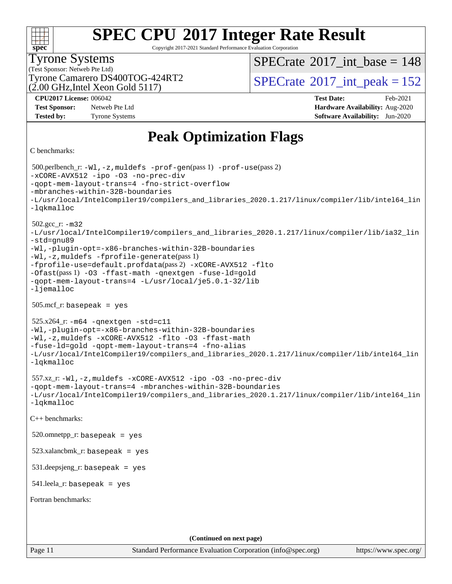| S<br>ne<br>Ľ |  |  |  |  |  |
|--------------|--|--|--|--|--|

Copyright 2017-2021 Standard Performance Evaluation Corporation

### Tyrone Systems

(Test Sponsor: Netweb Pte Ltd)  $(2.00 \text{ GHz}$ , Intel Xeon Gold 5117)  $SPECTate$ <sup>®</sup>[2017\\_int\\_base =](http://www.spec.org/auto/cpu2017/Docs/result-fields.html#SPECrate2017intbase) 148

Tyrone Camarero DS400TOG-424RT2  $\vert$  [SPECrate](http://www.spec.org/auto/cpu2017/Docs/result-fields.html#SPECrate2017intpeak)  $2017$ \_int\_peak = 152

**[Test Sponsor:](http://www.spec.org/auto/cpu2017/Docs/result-fields.html#TestSponsor)** Netweb Pte Ltd **[Hardware Availability:](http://www.spec.org/auto/cpu2017/Docs/result-fields.html#HardwareAvailability)** Aug-2020

**[CPU2017 License:](http://www.spec.org/auto/cpu2017/Docs/result-fields.html#CPU2017License)** 006042 **[Test Date:](http://www.spec.org/auto/cpu2017/Docs/result-fields.html#TestDate)** Feb-2021 **[Tested by:](http://www.spec.org/auto/cpu2017/Docs/result-fields.html#Testedby)** Tyrone Systems **[Software Availability:](http://www.spec.org/auto/cpu2017/Docs/result-fields.html#SoftwareAvailability)** Jun-2020

### **[Peak Optimization Flags](http://www.spec.org/auto/cpu2017/Docs/result-fields.html#PeakOptimizationFlags)**

```
C benchmarks:
```
Page 11 Standard Performance Evaluation Corporation [\(info@spec.org\)](mailto:info@spec.org) <https://www.spec.org/> 500.perlbench\_r: [-Wl,-z,muldefs](http://www.spec.org/cpu2017/results/res2021q1/cpu2017-20210227-25024.flags.html#user_peakEXTRA_LDFLAGS500_perlbench_r_link_force_multiple1_b4cbdb97b34bdee9ceefcfe54f4c8ea74255f0b02a4b23e853cdb0e18eb4525ac79b5a88067c842dd0ee6996c24547a27a4b99331201badda8798ef8a743f577) [-prof-gen](http://www.spec.org/cpu2017/results/res2021q1/cpu2017-20210227-25024.flags.html#user_peakPASS1_CFLAGSPASS1_LDFLAGS500_perlbench_r_prof_gen_5aa4926d6013ddb2a31985c654b3eb18169fc0c6952a63635c234f711e6e63dd76e94ad52365559451ec499a2cdb89e4dc58ba4c67ef54ca681ffbe1461d6b36)(pass 1) [-prof-use](http://www.spec.org/cpu2017/results/res2021q1/cpu2017-20210227-25024.flags.html#user_peakPASS2_CFLAGSPASS2_LDFLAGS500_perlbench_r_prof_use_1a21ceae95f36a2b53c25747139a6c16ca95bd9def2a207b4f0849963b97e94f5260e30a0c64f4bb623698870e679ca08317ef8150905d41bd88c6f78df73f19)(pass 2) [-xCORE-AVX512](http://www.spec.org/cpu2017/results/res2021q1/cpu2017-20210227-25024.flags.html#user_peakCOPTIMIZE500_perlbench_r_f-xCORE-AVX512) [-ipo](http://www.spec.org/cpu2017/results/res2021q1/cpu2017-20210227-25024.flags.html#user_peakCOPTIMIZE500_perlbench_r_f-ipo) [-O3](http://www.spec.org/cpu2017/results/res2021q1/cpu2017-20210227-25024.flags.html#user_peakCOPTIMIZE500_perlbench_r_f-O3) [-no-prec-div](http://www.spec.org/cpu2017/results/res2021q1/cpu2017-20210227-25024.flags.html#user_peakCOPTIMIZE500_perlbench_r_f-no-prec-div) [-qopt-mem-layout-trans=4](http://www.spec.org/cpu2017/results/res2021q1/cpu2017-20210227-25024.flags.html#user_peakCOPTIMIZE500_perlbench_r_f-qopt-mem-layout-trans_fa39e755916c150a61361b7846f310bcdf6f04e385ef281cadf3647acec3f0ae266d1a1d22d972a7087a248fd4e6ca390a3634700869573d231a252c784941a8) [-fno-strict-overflow](http://www.spec.org/cpu2017/results/res2021q1/cpu2017-20210227-25024.flags.html#user_peakEXTRA_OPTIMIZE500_perlbench_r_f-fno-strict-overflow) [-mbranches-within-32B-boundaries](http://www.spec.org/cpu2017/results/res2021q1/cpu2017-20210227-25024.flags.html#user_peakEXTRA_COPTIMIZE500_perlbench_r_f-mbranches-within-32B-boundaries) [-L/usr/local/IntelCompiler19/compilers\\_and\\_libraries\\_2020.1.217/linux/compiler/lib/intel64\\_lin](http://www.spec.org/cpu2017/results/res2021q1/cpu2017-20210227-25024.flags.html#user_peakEXTRA_LIBS500_perlbench_r_linkpath_2cb6f503891ebf8baee7515f4e7d4ec1217444d1d05903cc0091ac4158de400651d2b2313a9fa414cb8a8f0e16ab029634f5c6db340f400369c190d4db8a54a0) [-lqkmalloc](http://www.spec.org/cpu2017/results/res2021q1/cpu2017-20210227-25024.flags.html#user_peakEXTRA_LIBS500_perlbench_r_qkmalloc_link_lib_79a818439969f771c6bc311cfd333c00fc099dad35c030f5aab9dda831713d2015205805422f83de8875488a2991c0a156aaa600e1f9138f8fc37004abc96dc5) 502.gcc\_r: [-m32](http://www.spec.org/cpu2017/results/res2021q1/cpu2017-20210227-25024.flags.html#user_peakCCLD502_gcc_r_m32-icc) [-L/usr/local/IntelCompiler19/compilers\\_and\\_libraries\\_2020.1.217/linux/compiler/lib/ia32\\_lin](http://www.spec.org/cpu2017/results/res2021q1/cpu2017-20210227-25024.flags.html#user_peakCCLD502_gcc_r_linkpath_1b648dc083a6610e413f4e3f7afc604a24d17378f17ccd408506518e6231e99b67b6c9581aaca83ea9e1c966468a85aa236df4f978ab24cc5d9fdddb5cd5dbbb) [-std=gnu89](http://www.spec.org/cpu2017/results/res2021q1/cpu2017-20210227-25024.flags.html#user_peakCCLD502_gcc_r_f-std_f3cc2e520142451d42b8d64ee452c6877603de867a66777769b4e3f9b376c2a8742d66df6a4ffb5b483abd54df63aab35a2f4fe1181eb389a18cdcc50fd950e3) [-Wl,-plugin-opt=-x86-branches-within-32B-boundaries](http://www.spec.org/cpu2017/results/res2021q1/cpu2017-20210227-25024.flags.html#user_peakLDFLAGS502_gcc_r_f-x86-branches-within-32B-boundaries_0098b4e4317ae60947b7b728078a624952a08ac37a3c797dfb4ffeb399e0c61a9dd0f2f44ce917e9361fb9076ccb15e7824594512dd315205382d84209e912f3) [-Wl,-z,muldefs](http://www.spec.org/cpu2017/results/res2021q1/cpu2017-20210227-25024.flags.html#user_peakEXTRA_LDFLAGS502_gcc_r_link_force_multiple1_b4cbdb97b34bdee9ceefcfe54f4c8ea74255f0b02a4b23e853cdb0e18eb4525ac79b5a88067c842dd0ee6996c24547a27a4b99331201badda8798ef8a743f577) [-fprofile-generate](http://www.spec.org/cpu2017/results/res2021q1/cpu2017-20210227-25024.flags.html#user_peakPASS1_CFLAGSPASS1_LDFLAGS502_gcc_r_fprofile-generate)(pass 1) [-fprofile-use=default.profdata](http://www.spec.org/cpu2017/results/res2021q1/cpu2017-20210227-25024.flags.html#user_peakPASS2_CFLAGSPASS2_LDFLAGS502_gcc_r_fprofile-use_56aeee182b92ec249f9670f17c9b8e7d83fe2d25538e35a2cf64c434b579a2235a8b8fc66ef5678d24461366bbab9d486c870d8a72905233fc08e43eefe3cd80)(pass 2) [-xCORE-AVX512](http://www.spec.org/cpu2017/results/res2021q1/cpu2017-20210227-25024.flags.html#user_peakCOPTIMIZEPASS1_CFLAGSPASS1_LDFLAGS502_gcc_r_f-xCORE-AVX512) [-flto](http://www.spec.org/cpu2017/results/res2021q1/cpu2017-20210227-25024.flags.html#user_peakCOPTIMIZEPASS1_CFLAGSPASS1_LDFLAGS502_gcc_r_f-flto) [-Ofast](http://www.spec.org/cpu2017/results/res2021q1/cpu2017-20210227-25024.flags.html#user_peakPASS1_CFLAGSPASS1_LDFLAGS502_gcc_r_f-Ofast)(pass 1) [-O3](http://www.spec.org/cpu2017/results/res2021q1/cpu2017-20210227-25024.flags.html#user_peakCOPTIMIZE502_gcc_r_f-O3) [-ffast-math](http://www.spec.org/cpu2017/results/res2021q1/cpu2017-20210227-25024.flags.html#user_peakCOPTIMIZE502_gcc_r_f-ffast-math) [-qnextgen](http://www.spec.org/cpu2017/results/res2021q1/cpu2017-20210227-25024.flags.html#user_peakCOPTIMIZE502_gcc_r_f-qnextgen) [-fuse-ld=gold](http://www.spec.org/cpu2017/results/res2021q1/cpu2017-20210227-25024.flags.html#user_peakCOPTIMIZE502_gcc_r_f-fuse-ld_920b3586e2b8c6e0748b9c84fa9b744736ba725a32cab14ad8f3d4ad28eecb2f59d1144823d2e17006539a88734fe1fc08fc3035f7676166309105a78aaabc32) [-qopt-mem-layout-trans=4](http://www.spec.org/cpu2017/results/res2021q1/cpu2017-20210227-25024.flags.html#user_peakCOPTIMIZE502_gcc_r_f-qopt-mem-layout-trans_fa39e755916c150a61361b7846f310bcdf6f04e385ef281cadf3647acec3f0ae266d1a1d22d972a7087a248fd4e6ca390a3634700869573d231a252c784941a8) [-L/usr/local/je5.0.1-32/lib](http://www.spec.org/cpu2017/results/res2021q1/cpu2017-20210227-25024.flags.html#user_peakEXTRA_LIBS502_gcc_r_jemalloc_link_path32_e29f22e8e6c17053bbc6a0971f5a9c01a601a06bb1a59df2084b77a2fe0a2995b64fd4256feaeea39eeba3aae142e96e2b2b0a28974019c0c0c88139a84f900a) [-ljemalloc](http://www.spec.org/cpu2017/results/res2021q1/cpu2017-20210227-25024.flags.html#user_peakEXTRA_LIBS502_gcc_r_jemalloc_link_lib_d1249b907c500fa1c0672f44f562e3d0f79738ae9e3c4a9c376d49f265a04b9c99b167ecedbf6711b3085be911c67ff61f150a17b3472be731631ba4d0471706) 505.mcf\_r: basepeak = yes 525.x264\_r: [-m64](http://www.spec.org/cpu2017/results/res2021q1/cpu2017-20210227-25024.flags.html#user_peakCCLD525_x264_r_m64-icc) [-qnextgen](http://www.spec.org/cpu2017/results/res2021q1/cpu2017-20210227-25024.flags.html#user_peakCCCOPTIMIZELD525_x264_r_f-qnextgen) [-std=c11](http://www.spec.org/cpu2017/results/res2021q1/cpu2017-20210227-25024.flags.html#user_peakCCLD525_x264_r_std-icc-std_0e1c27790398a4642dfca32ffe6c27b5796f9c2d2676156f2e42c9c44eaad0c049b1cdb667a270c34d979996257aeb8fc440bfb01818dbc9357bd9d174cb8524) [-Wl,-plugin-opt=-x86-branches-within-32B-boundaries](http://www.spec.org/cpu2017/results/res2021q1/cpu2017-20210227-25024.flags.html#user_peakLDFLAGS525_x264_r_f-x86-branches-within-32B-boundaries_0098b4e4317ae60947b7b728078a624952a08ac37a3c797dfb4ffeb399e0c61a9dd0f2f44ce917e9361fb9076ccb15e7824594512dd315205382d84209e912f3) [-Wl,-z,muldefs](http://www.spec.org/cpu2017/results/res2021q1/cpu2017-20210227-25024.flags.html#user_peakEXTRA_LDFLAGS525_x264_r_link_force_multiple1_b4cbdb97b34bdee9ceefcfe54f4c8ea74255f0b02a4b23e853cdb0e18eb4525ac79b5a88067c842dd0ee6996c24547a27a4b99331201badda8798ef8a743f577) [-xCORE-AVX512](http://www.spec.org/cpu2017/results/res2021q1/cpu2017-20210227-25024.flags.html#user_peakCOPTIMIZE525_x264_r_f-xCORE-AVX512) [-flto](http://www.spec.org/cpu2017/results/res2021q1/cpu2017-20210227-25024.flags.html#user_peakCOPTIMIZE525_x264_r_f-flto) [-O3](http://www.spec.org/cpu2017/results/res2021q1/cpu2017-20210227-25024.flags.html#user_peakCOPTIMIZE525_x264_r_f-O3) [-ffast-math](http://www.spec.org/cpu2017/results/res2021q1/cpu2017-20210227-25024.flags.html#user_peakCOPTIMIZE525_x264_r_f-ffast-math) [-fuse-ld=gold](http://www.spec.org/cpu2017/results/res2021q1/cpu2017-20210227-25024.flags.html#user_peakCOPTIMIZE525_x264_r_f-fuse-ld_920b3586e2b8c6e0748b9c84fa9b744736ba725a32cab14ad8f3d4ad28eecb2f59d1144823d2e17006539a88734fe1fc08fc3035f7676166309105a78aaabc32) [-qopt-mem-layout-trans=4](http://www.spec.org/cpu2017/results/res2021q1/cpu2017-20210227-25024.flags.html#user_peakCOPTIMIZE525_x264_r_f-qopt-mem-layout-trans_fa39e755916c150a61361b7846f310bcdf6f04e385ef281cadf3647acec3f0ae266d1a1d22d972a7087a248fd4e6ca390a3634700869573d231a252c784941a8) [-fno-alias](http://www.spec.org/cpu2017/results/res2021q1/cpu2017-20210227-25024.flags.html#user_peakEXTRA_OPTIMIZE525_x264_r_f-no-alias_77dbac10d91cbfe898fbf4a29d1b29b694089caa623bdd1baccc9957d4edbe8d106c0b357e2748a65b44fc9e83d78098bb898077f3fe92f9faf24f7bd4a07ed7) [-L/usr/local/IntelCompiler19/compilers\\_and\\_libraries\\_2020.1.217/linux/compiler/lib/intel64\\_lin](http://www.spec.org/cpu2017/results/res2021q1/cpu2017-20210227-25024.flags.html#user_peakEXTRA_LIBS525_x264_r_linkpath_2cb6f503891ebf8baee7515f4e7d4ec1217444d1d05903cc0091ac4158de400651d2b2313a9fa414cb8a8f0e16ab029634f5c6db340f400369c190d4db8a54a0) [-lqkmalloc](http://www.spec.org/cpu2017/results/res2021q1/cpu2017-20210227-25024.flags.html#user_peakEXTRA_LIBS525_x264_r_qkmalloc_link_lib_79a818439969f771c6bc311cfd333c00fc099dad35c030f5aab9dda831713d2015205805422f83de8875488a2991c0a156aaa600e1f9138f8fc37004abc96dc5) 557.xz\_r: [-Wl,-z,muldefs](http://www.spec.org/cpu2017/results/res2021q1/cpu2017-20210227-25024.flags.html#user_peakEXTRA_LDFLAGS557_xz_r_link_force_multiple1_b4cbdb97b34bdee9ceefcfe54f4c8ea74255f0b02a4b23e853cdb0e18eb4525ac79b5a88067c842dd0ee6996c24547a27a4b99331201badda8798ef8a743f577) [-xCORE-AVX512](http://www.spec.org/cpu2017/results/res2021q1/cpu2017-20210227-25024.flags.html#user_peakCOPTIMIZE557_xz_r_f-xCORE-AVX512) [-ipo](http://www.spec.org/cpu2017/results/res2021q1/cpu2017-20210227-25024.flags.html#user_peakCOPTIMIZE557_xz_r_f-ipo) [-O3](http://www.spec.org/cpu2017/results/res2021q1/cpu2017-20210227-25024.flags.html#user_peakCOPTIMIZE557_xz_r_f-O3) [-no-prec-div](http://www.spec.org/cpu2017/results/res2021q1/cpu2017-20210227-25024.flags.html#user_peakCOPTIMIZE557_xz_r_f-no-prec-div) [-qopt-mem-layout-trans=4](http://www.spec.org/cpu2017/results/res2021q1/cpu2017-20210227-25024.flags.html#user_peakCOPTIMIZE557_xz_r_f-qopt-mem-layout-trans_fa39e755916c150a61361b7846f310bcdf6f04e385ef281cadf3647acec3f0ae266d1a1d22d972a7087a248fd4e6ca390a3634700869573d231a252c784941a8) [-mbranches-within-32B-boundaries](http://www.spec.org/cpu2017/results/res2021q1/cpu2017-20210227-25024.flags.html#user_peakEXTRA_COPTIMIZE557_xz_r_f-mbranches-within-32B-boundaries) [-L/usr/local/IntelCompiler19/compilers\\_and\\_libraries\\_2020.1.217/linux/compiler/lib/intel64\\_lin](http://www.spec.org/cpu2017/results/res2021q1/cpu2017-20210227-25024.flags.html#user_peakEXTRA_LIBS557_xz_r_linkpath_2cb6f503891ebf8baee7515f4e7d4ec1217444d1d05903cc0091ac4158de400651d2b2313a9fa414cb8a8f0e16ab029634f5c6db340f400369c190d4db8a54a0) [-lqkmalloc](http://www.spec.org/cpu2017/results/res2021q1/cpu2017-20210227-25024.flags.html#user_peakEXTRA_LIBS557_xz_r_qkmalloc_link_lib_79a818439969f771c6bc311cfd333c00fc099dad35c030f5aab9dda831713d2015205805422f83de8875488a2991c0a156aaa600e1f9138f8fc37004abc96dc5) [C++ benchmarks](http://www.spec.org/auto/cpu2017/Docs/result-fields.html#CXXbenchmarks): 520.omnetpp\_r: basepeak = yes  $523.xalanchmk$  r: basepeak = yes 531.deepsjeng\_r: basepeak = yes  $541$ .leela\_r: basepeak = yes [Fortran benchmarks:](http://www.spec.org/auto/cpu2017/Docs/result-fields.html#Fortranbenchmarks) **(Continued on next page)**